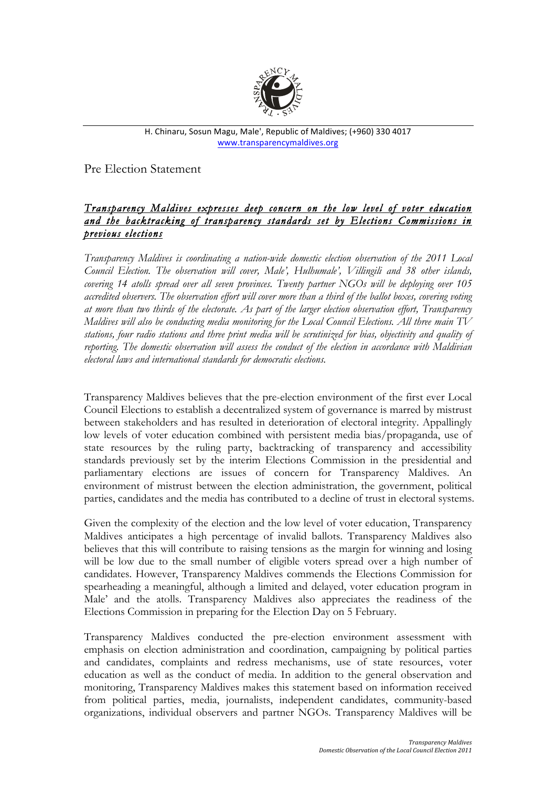

H. Chinaru, Sosun Magu, Male', Republic of Maldives; (+960) 330 4017 www.transparencymaldives.org

Pre Election Statement

## *Transparency Maldives expresses deep concern on the low level of voter education and the backtracking of transparency standards set by Elections Commissions in previous elections*

*Transparency Maldives is coordinating a nation-wide domestic election observation of the 2011 Local Council Election. The observation will cover, Male', Hulhumale', Villingili and 38 other islands, covering 14 atolls spread over all seven provinces. Twenty partner NGOs will be deploying over 105 accredited observers. The observation effort will cover more than a third of the ballot boxes, covering voting at more than two thirds of the electorate. As part of the larger election observation effort, Transparency Maldives will also be conducting media monitoring for the Local Council Elections. All three main TV stations, four radio stations and three print media will be scrutinized for bias, objectivity and quality of reporting. The domestic observation will assess the conduct of the election in accordance with Maldivian electoral laws and international standards for democratic elections.*

Transparency Maldives believes that the pre-election environment of the first ever Local Council Elections to establish a decentralized system of governance is marred by mistrust between stakeholders and has resulted in deterioration of electoral integrity. Appallingly low levels of voter education combined with persistent media bias/propaganda, use of state resources by the ruling party, backtracking of transparency and accessibility standards previously set by the interim Elections Commission in the presidential and parliamentary elections are issues of concern for Transparency Maldives. An environment of mistrust between the election administration, the government, political parties, candidates and the media has contributed to a decline of trust in electoral systems.

Given the complexity of the election and the low level of voter education, Transparency Maldives anticipates a high percentage of invalid ballots. Transparency Maldives also believes that this will contribute to raising tensions as the margin for winning and losing will be low due to the small number of eligible voters spread over a high number of candidates. However, Transparency Maldives commends the Elections Commission for spearheading a meaningful, although a limited and delayed, voter education program in Male' and the atolls. Transparency Maldives also appreciates the readiness of the Elections Commission in preparing for the Election Day on 5 February.

Transparency Maldives conducted the pre-election environment assessment with emphasis on election administration and coordination, campaigning by political parties and candidates, complaints and redress mechanisms, use of state resources, voter education as well as the conduct of media. In addition to the general observation and monitoring, Transparency Maldives makes this statement based on information received from political parties, media, journalists, independent candidates, community-based organizations, individual observers and partner NGOs. Transparency Maldives will be